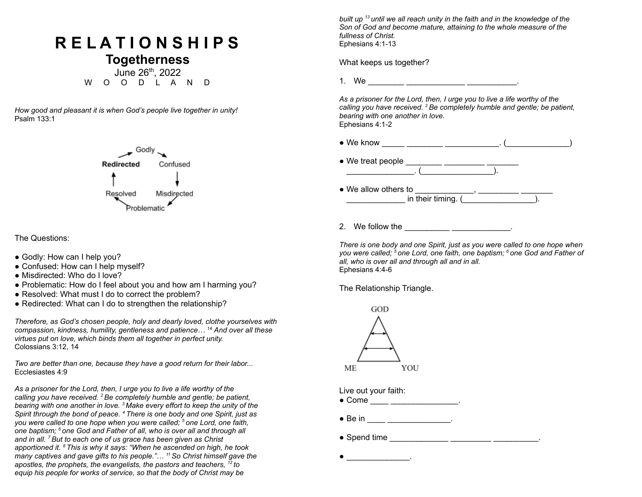## **R E L A T I O N S H I P S**

**Togetherness** June 26th , 2022 W O O D L A N D

*How good and pleasant it is when God's people live together in unity!* Psalm 133:1



The Questions:

- Godly: How can I help you?
- Confused: How can I help myself?
- Misdirected: Who do I love?
- Problematic: How do I feel about you and how am I harming you?
- Resolved: What must I do to correct the problem?
- Redirected: What can I do to strengthen the relationship?

*Therefore, as God's chosen people, holy and dearly loved, clothe yourselves with compassion, kindness, humility, gentleness and patience… <sup>14</sup> And over all these virtues put on love, which binds them all together in perfect unity.* Colossians 3:12, 14

*Two are better than one, because they have a good return for their labor...* Ecclesiastes 4:9

*As a prisoner for the Lord, then, I urge you to live a life worthy of the calling you have received. <sup>2</sup>Be completely humble and gentle; be patient, bearing with one another in love. <sup>3</sup> Make every effort to keep the unity of the Spirit through the bond of peace. <sup>4</sup> There is one body and one Spirit, just as you were called to one hope when you were called; <sup>5</sup> one Lord, one faith, one baptism; <sup>6</sup> one God and Father of all, who is over all and through all and in all. <sup>7</sup>But to each one of us grace has been given as Christ apportioned it. <sup>8</sup> This is why it says: "When he ascended on high, he took many captives and gave gifts to his people."… <sup>11</sup>So Christ himself gave the apostles, the prophets, the evangelists, the pastors and teachers, <sup>12</sup> to equip his people for works of service, so that the body of Christ may be*

*built up <sup>13</sup> until we all reach unity in the faith and in the knowledge of the Son of God and become mature, attaining to the whole measure of the fullness of Christ.* Ephesians 4:1-13

What keeps us together?

1. We \_\_\_\_\_\_\_\_ \_\_\_\_\_\_\_\_\_\_\_\_\_ \_\_\_\_\_\_\_\_\_\_\_.

*As a prisoner for the Lord, then, I urge you to live a life worthy of the calling you have received. <sup>2</sup>Be completely humble and gentle; be patient, bearing with one another in love.* Ephesians 4:1-2

● We know \_\_\_\_\_ \_\_\_\_\_\_\_\_ \_\_\_\_\_\_\_\_\_\_\_\_. (\_\_\_\_\_\_\_\_\_\_\_\_\_\_)

• We treat people \_\_\_\_\_\_\_\_\_ \_\_\_\_\_\_\_\_\_ \_\_\_\_\_\_\_\_  $\qquad \qquad .($ 

 $\bullet$  We allow others to \_\_\_\_\_\_\_\_\_\_\_\_\_ in their timing. (\_\_\_\_\_\_\_\_\_\_\_\_\_\_\_\_).

2. We follow the \_\_\_\_\_\_\_\_\_\_\_\_\_\_\_\_\_\_\_\_\_.

*There is one body and one Spirit, just as you were called to one hope when you were called; <sup>5</sup> one Lord, one faith, one baptism; <sup>6</sup> one God and Father of all, who is over all and through all and in all.* Ephesians 4:4-6

The Relationship Triangle.



Live out your faith:

● Come \_\_\_ \_\_\_\_\_\_\_\_\_\_\_\_\_\_\_\_\_.

- Be in  $\qquad \qquad \qquad$
- Spend time  $\_$

 $\bullet$  \_\_\_\_\_\_\_\_\_\_\_\_\_\_\_\_\_\_\_\_\_.